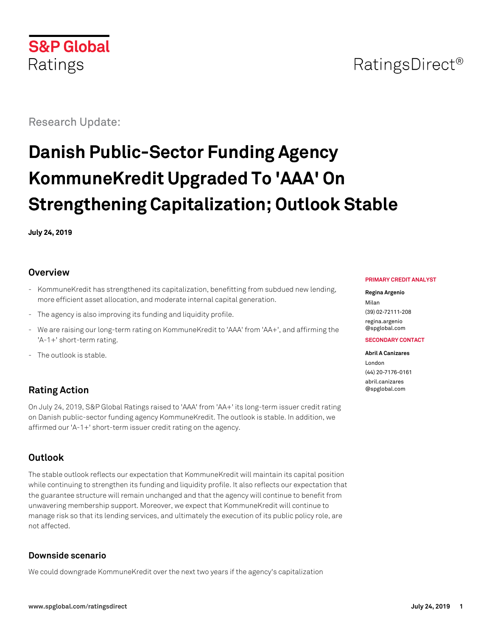

## RatingsDirect<sup>®</sup>

Research Update:

# **Danish Public-Sector Funding Agency KommuneKredit Upgraded To 'AAA' On Strengthening Capitalization; Outlook Stable**

**July 24, 2019**

#### **Overview**

- KommuneKredit has strengthened its capitalization, benefitting from subdued new lending, more efficient asset allocation, and moderate internal capital generation.
- The agency is also improving its funding and liquidity profile.
- We are raising our long-term rating on KommuneKredit to 'AAA' from 'AA+', and affirming the 'A-1+' short-term rating.
- The outlook is stable.

## **Rating Action**

On July 24, 2019, S&P Global Ratings raised to 'AAA' from 'AA+' its long-term issuer credit rating on Danish public-sector funding agency KommuneKredit. The outlook is stable. In addition, we affirmed our 'A-1+' short-term issuer credit rating on the agency.

## **Outlook**

The stable outlook reflects our expectation that KommuneKredit will maintain its capital position while continuing to strengthen its funding and liquidity profile. It also reflects our expectation that the guarantee structure will remain unchanged and that the agency will continue to benefit from unwavering membership support. Moreover, we expect that KommuneKredit will continue to manage risk so that its lending services, and ultimately the execution of its public policy role, are not affected.

#### **Downside scenario**

We could downgrade KommuneKredit over the next two years if the agency's capitalization

#### **PRIMARY CREDIT ANALYST**

#### **Regina Argenio**

Milan (39) 02-72111-208 [regina.argenio](mailto:regina.argenio@spglobal.com) [@spglobal.com](mailto:regina.argenio@spglobal.com)

#### **SECONDARY CONTACT**

#### **Abril A Canizares**

London (44) 20-7176-0161 [abril.canizares](mailto:abril.canizares@spglobal.com) [@spglobal.com](mailto:abril.canizares@spglobal.com)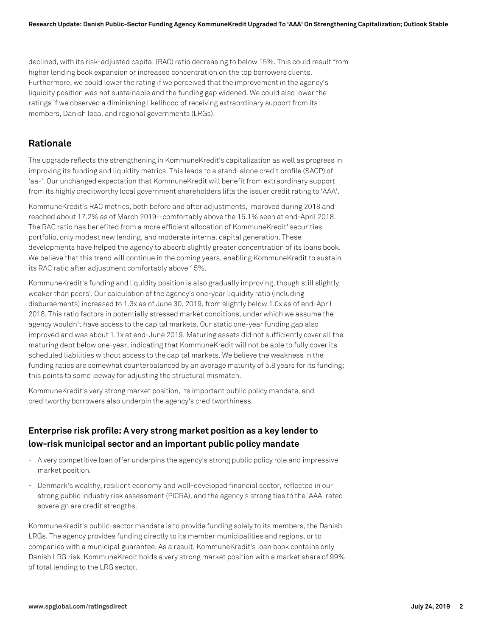declined, with its risk-adjusted capital (RAC) ratio decreasing to below 15%. This could result from higher lending book expansion or increased concentration on the top borrowers clients. Furthermore, we could lower the rating if we perceived that the improvement in the agency's liquidity position was not sustainable and the funding gap widened. We could also lower the ratings if we observed a diminishing likelihood of receiving extraordinary support from its members, Danish local and regional governments (LRGs).

#### **Rationale**

The upgrade reflects the strengthening in KommuneKredit's capitalization as well as progress in improving its funding and liquidity metrics. This leads to a stand-alone credit profile (SACP) of 'aa-'. Our unchanged expectation that KommuneKredit will benefit from extraordinary support from its highly creditworthy local government shareholders lifts the issuer credit rating to 'AAA'.

KommuneKredit's RAC metrics, both before and after adjustments, improved during 2018 and reached about 17.2% as of March 2019--comfortably above the 15.1% seen at end-April 2018. The RAC ratio has benefited from a more efficient allocation of KommuneKredit' securities portfolio, only modest new lending, and moderate internal capital generation. These developments have helped the agency to absorb slightly greater concentration of its loans book. We believe that this trend will continue in the coming years, enabling KommuneKredit to sustain its RAC ratio after adjustment comfortably above 15%.

KommuneKredit's funding and liquidity position is also gradually improving, though still slightly weaker than peers'. Our calculation of the agency's one-year liquidity ratio (including disbursements) increased to 1.3x as of June 30, 2019, from slightly below 1.0x as of end-April 2018. This ratio factors in potentially stressed market conditions, under which we assume the agency wouldn't have access to the capital markets. Our static one-year funding gap also improved and was about 1.1x at end-June 2019. Maturing assets did not sufficiently cover all the maturing debt below one-year, indicating that KommuneKredit will not be able to fully cover its scheduled liabilities without access to the capital markets. We believe the weakness in the funding ratios are somewhat counterbalanced by an average maturity of 5.8 years for its funding; this points to some leeway for adjusting the structural mismatch.

KommuneKredit's very strong market position, its important public policy mandate, and creditworthy borrowers also underpin the agency's creditworthiness.

## **Enterprise risk profile: A very strong market position as a key lender to low-risk municipal sector and an important public policy mandate**

- A very competitive loan offer underpins the agency's strong public policy role and impressive market position.
- Denmark's wealthy, resilient economy and well-developed financial sector, reflected in our strong public industry risk assessment (PICRA), and the agency's strong ties to the 'AAA' rated sovereign are credit strengths.

KommuneKredit's public-sector mandate is to provide funding solely to its members, the Danish LRGs. The agency provides funding directly to its member municipalities and regions, or to companies with a municipal guarantee. As a result, KommuneKredit's loan book contains only Danish LRG risk. KommuneKredit holds a very strong market position with a market share of 99% of total lending to the LRG sector.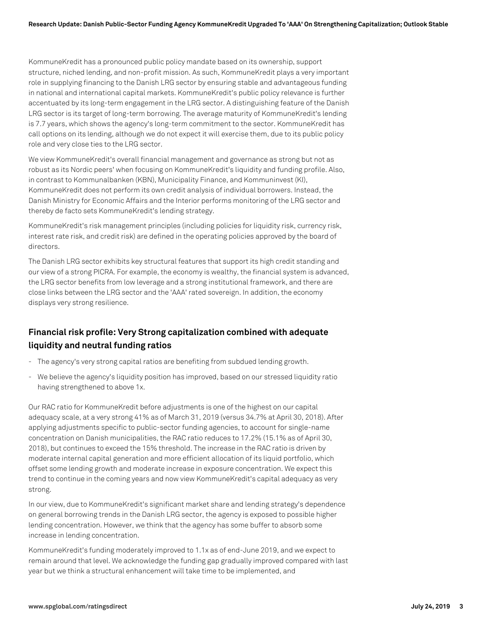KommuneKredit has a pronounced public policy mandate based on its ownership, support structure, niched lending, and non-profit mission. As such, KommuneKredit plays a very important role in supplying financing to the Danish LRG sector by ensuring stable and advantageous funding in national and international capital markets. KommuneKredit's public policy relevance is further accentuated by its long-term engagement in the LRG sector. A distinguishing feature of the Danish LRG sector is its target of long-term borrowing. The average maturity of KommuneKredit's lending is 7.7 years, which shows the agency's long-term commitment to the sector. KommuneKredit has call options on its lending, although we do not expect it will exercise them, due to its public policy role and very close ties to the LRG sector.

We view KommuneKredit's overall financial management and governance as strong but not as robust as its Nordic peers' when focusing on KommuneKredit's liquidity and funding profile. Also, in contrast to Kommunalbanken (KBN), Municipality Finance, and Kommuninvest (KI), KommuneKredit does not perform its own credit analysis of individual borrowers. Instead, the Danish Ministry for Economic Affairs and the Interior performs monitoring of the LRG sector and thereby de facto sets KommuneKredit's lending strategy.

KommuneKredit's risk management principles (including policies for liquidity risk, currency risk, interest rate risk, and credit risk) are defined in the operating policies approved by the board of directors.

The Danish LRG sector exhibits key structural features that support its high credit standing and our view of a strong PICRA. For example, the economy is wealthy, the financial system is advanced, the LRG sector benefits from low leverage and a strong institutional framework, and there are close links between the LRG sector and the 'AAA' rated sovereign. In addition, the economy displays very strong resilience.

## **Financial risk profile: Very Strong capitalization combined with adequate liquidity and neutral funding ratios**

- The agency's very strong capital ratios are benefiting from subdued lending growth.
- We believe the agency's liquidity position has improved, based on our stressed liquidity ratio having strengthened to above 1x.

Our RAC ratio for KommuneKredit before adjustments is one of the highest on our capital adequacy scale, at a very strong 41% as of March 31, 2019 (versus 34.7% at April 30, 2018). After applying adjustments specific to public-sector funding agencies, to account for single-name concentration on Danish municipalities, the RAC ratio reduces to 17.2% (15.1% as of April 30, 2018), but continues to exceed the 15% threshold. The increase in the RAC ratio is driven by moderate internal capital generation and more efficient allocation of its liquid portfolio, which offset some lending growth and moderate increase in exposure concentration. We expect this trend to continue in the coming years and now view KommuneKredit's capital adequacy as very strong.

In our view, due to KommuneKredit's significant market share and lending strategy's dependence on general borrowing trends in the Danish LRG sector, the agency is exposed to possible higher lending concentration. However, we think that the agency has some buffer to absorb some increase in lending concentration.

KommuneKredit's funding moderately improved to 1.1x as of end-June 2019, and we expect to remain around that level. We acknowledge the funding gap gradually improved compared with last year but we think a structural enhancement will take time to be implemented, and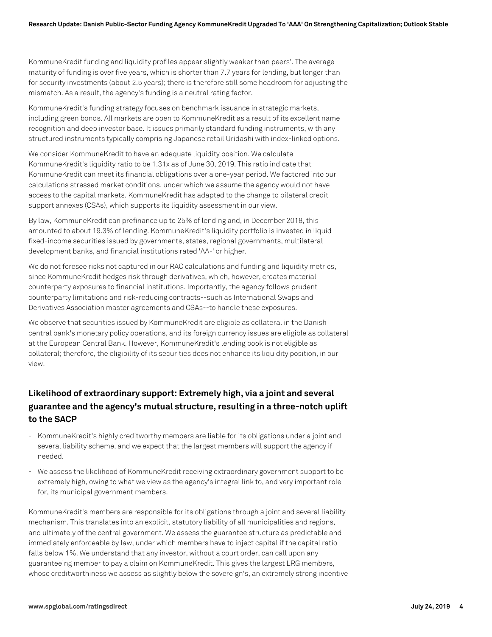KommuneKredit funding and liquidity profiles appear slightly weaker than peers'. The average maturity of funding is over five years, which is shorter than 7.7 years for lending, but longer than for security investments (about 2.5 years); there is therefore still some headroom for adjusting the mismatch. As a result, the agency's funding is a neutral rating factor.

KommuneKredit's funding strategy focuses on benchmark issuance in strategic markets, including green bonds. All markets are open to KommuneKredit as a result of its excellent name recognition and deep investor base. It issues primarily standard funding instruments, with any structured instruments typically comprising Japanese retail Uridashi with index-linked options.

We consider KommuneKredit to have an adequate liquidity position. We calculate KommuneKredit's liquidity ratio to be 1.31x as of June 30, 2019. This ratio indicate that KommuneKredit can meet its financial obligations over a one-year period. We factored into our calculations stressed market conditions, under which we assume the agency would not have access to the capital markets. KommuneKredit has adapted to the change to bilateral credit support annexes (CSAs), which supports its liquidity assessment in our view.

By law, KommuneKredit can prefinance up to 25% of lending and, in December 2018, this amounted to about 19.3% of lending. KommuneKredit's liquidity portfolio is invested in liquid fixed-income securities issued by governments, states, regional governments, multilateral development banks, and financial institutions rated 'AA-' or higher.

We do not foresee risks not captured in our RAC calculations and funding and liquidity metrics, since KommuneKredit hedges risk through derivatives, which, however, creates material counterparty exposures to financial institutions. Importantly, the agency follows prudent counterparty limitations and risk-reducing contracts--such as International Swaps and Derivatives Association master agreements and CSAs--to handle these exposures.

We observe that securities issued by KommuneKredit are eligible as collateral in the Danish central bank's monetary policy operations, and its foreign currency issues are eligible as collateral at the European Central Bank. However, KommuneKredit's lending book is not eligible as collateral; therefore, the eligibility of its securities does not enhance its liquidity position, in our view.

## **Likelihood of extraordinary support: Extremely high, via a joint and several guarantee and the agency's mutual structure, resulting in a three-notch uplift to the SACP**

- KommuneKredit's highly creditworthy members are liable for its obligations under a joint and several liability scheme, and we expect that the largest members will support the agency if needed.
- We assess the likelihood of KommuneKredit receiving extraordinary government support to be extremely high, owing to what we view as the agency's integral link to, and very important role for, its municipal government members.

KommuneKredit's members are responsible for its obligations through a joint and several liability mechanism. This translates into an explicit, statutory liability of all municipalities and regions, and ultimately of the central government. We assess the guarantee structure as predictable and immediately enforceable by law, under which members have to inject capital if the capital ratio falls below 1%. We understand that any investor, without a court order, can call upon any guaranteeing member to pay a claim on KommuneKredit. This gives the largest LRG members, whose creditworthiness we assess as slightly below the sovereign's, an extremely strong incentive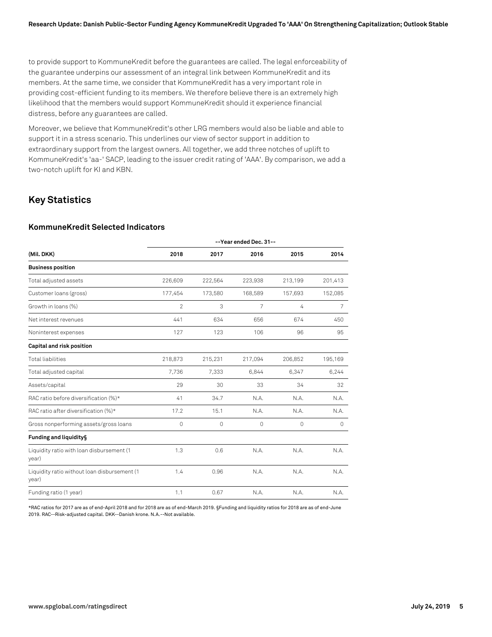to provide support to KommuneKredit before the guarantees are called. The legal enforceability of the guarantee underpins our assessment of an integral link between KommuneKredit and its members. At the same time, we consider that KommuneKredit has a very important role in providing cost-efficient funding to its members. We therefore believe there is an extremely high likelihood that the members would support KommuneKredit should it experience financial distress, before any guarantees are called.

Moreover, we believe that KommuneKredit's other LRG members would also be liable and able to support it in a stress scenario. This underlines our view of sector support in addition to extraordinary support from the largest owners. All together, we add three notches of uplift to KommuneKredit's 'aa-' SACP, leading to the issuer credit rating of 'AAA'. By comparison, we add a two-notch uplift for KI and KBN.

## **Key Statistics**

#### **KommuneKredit Selected Indicators**

|                                                       | --Year ended Dec. 31-- |         |                |         |         |
|-------------------------------------------------------|------------------------|---------|----------------|---------|---------|
| (Mil. DKK)                                            | 2018                   | 2017    | 2016           | 2015    | 2014    |
| <b>Business position</b>                              |                        |         |                |         |         |
| Total adjusted assets                                 | 226,609                | 222,564 | 223,938        | 213,199 | 201,413 |
| Customer loans (gross)                                | 177,454                | 173,580 | 168,589        | 157,693 | 152,085 |
| Growth in loans (%)                                   | $\overline{2}$         | 3       | $\overline{7}$ | 4       | 7       |
| Net interest revenues                                 | 441                    | 634     | 656            | 674     | 450     |
| Noninterest expenses                                  | 127                    | 123     | 106            | 96      | 95      |
| Capital and risk position                             |                        |         |                |         |         |
| <b>Total liabilities</b>                              | 218,873                | 215,231 | 217,094        | 206,852 | 195,169 |
| Total adjusted capital                                | 7,736                  | 7,333   | 6,844          | 6,347   | 6,244   |
| Assets/capital                                        | 29                     | 30      | 33             | 34      | 32      |
| RAC ratio before diversification (%)*                 | 41                     | 34.7    | N.A.           | N.A.    | N.A.    |
| RAC ratio after diversification (%)*                  | 17.2                   | 15.1    | N.A.           | N.A.    | N.A.    |
| Gross nonperforming assets/gross loans                | 0                      | 0       | 0              | $\circ$ | $\circ$ |
| Funding and liquidity§                                |                        |         |                |         |         |
| Liquidity ratio with loan disbursement (1<br>year)    | 1.3                    | 0.6     | N.A.           | N.A.    | N.A.    |
| Liquidity ratio without loan disbursement (1<br>year) | 1.4                    | 0.96    | N.A.           | N.A.    | N.A.    |
| Funding ratio (1 year)                                | 1.1                    | 0.67    | N.A.           | N.A.    | N.A.    |

\*RAC ratios for 2017 are as of end-April 2018 and for 2018 are as of end-March 2019. §Funding and liquidity ratios for 2018 are as of end-June 2019. RAC--Risk-adjusted capital. DKK--Danish krone. N.A.--Not available.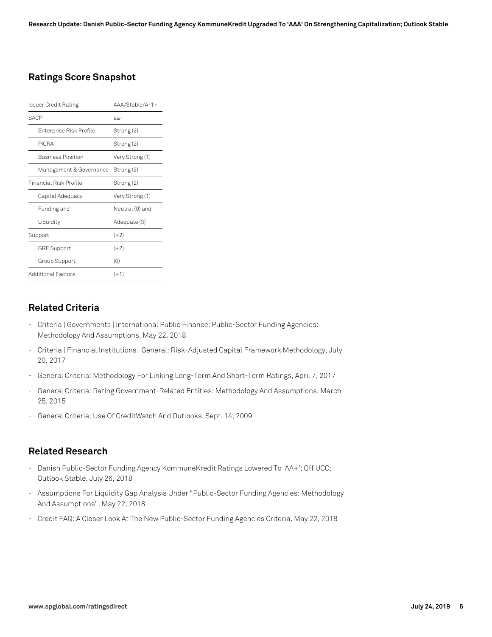## **Ratings Score Snapshot**

| Issuer Credit Rating     | $AA/Stable/A-1+$ |  |  |
|--------------------------|------------------|--|--|
| <b>SACP</b>              | aa-              |  |  |
| Enterprise Risk Profile  | Strong (2)       |  |  |
| PICRA                    | Strong (2)       |  |  |
| <b>Business Position</b> | Very Strong (1)  |  |  |
| Management & Governance  | Strong (2)       |  |  |
| Financial Risk Profile   | Strong (2)       |  |  |
| Capital Adequacy         | Very Strong (1)  |  |  |
| Funding and              | Neutral (0) and  |  |  |
| Liquidity                | Adequate (3)     |  |  |
| Support                  | $(+2)$           |  |  |
| <b>GRE Support</b>       | $(+2)$           |  |  |
| Group Support            | (0)              |  |  |
| Additional Factors       | $(+1)$           |  |  |

#### **Related Criteria**

- Criteria | Governments | International Public Finance: Public-Sector Funding Agencies: Methodology And Assumptions, May 22, 2018
- Criteria | Financial Institutions | General: Risk-Adjusted Capital Framework Methodology, July 20, 2017
- General Criteria: Methodology For Linking Long-Term And Short-Term Ratings, April 7, 2017
- General Criteria: Rating Government-Related Entities: Methodology And Assumptions, March 25, 2015
- General Criteria: Use Of CreditWatch And Outlooks, Sept. 14, 2009

#### **Related Research**

- Danish Public-Sector Funding Agency KommuneKredit Ratings Lowered To 'AA+'; Off UCO; Outlook Stable, July 26, 2018
- Assumptions For Liquidity Gap Analysis Under "Public-Sector Funding Agencies: Methodology And Assumptions", May 22, 2018
- Credit FAQ: A Closer Look At The New Public-Sector Funding Agencies Criteria, May 22, 2018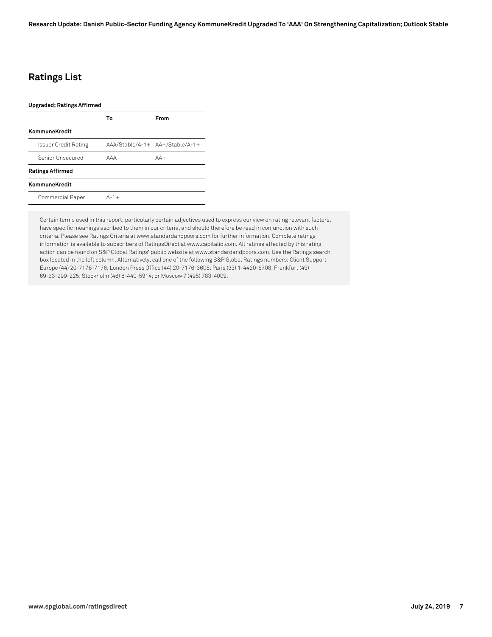## **Ratings List**

#### **Upgraded; Ratings Affirmed**

|                             | Т٥         | From                             |
|-----------------------------|------------|----------------------------------|
| KommuneKredit               |            |                                  |
| <b>Issuer Credit Rating</b> |            | $AAA/Stable/A-1+AA+/Stable/A-1+$ |
| Senior Unsecured            | <b>AAA</b> | $\Delta\Delta+$                  |
| <b>Ratings Affirmed</b>     |            |                                  |
| KommuneKredit               |            |                                  |
| Commercial Paper            | $A-1+$     |                                  |
|                             |            |                                  |

Certain terms used in this report, particularly certain adjectives used to express our view on rating relevant factors, have specific meanings ascribed to them in our criteria, and should therefore be read in conjunction with such criteria. Please see Ratings Criteria at www.standardandpoors.com for further information. Complete ratings information is available to subscribers of RatingsDirect at www.capitaliq.com. All ratings affected by this rating action can be found on S&P Global Ratings' public website at www.standardandpoors.com. Use the Ratings search box located in the left column. Alternatively, call one of the following S&P Global Ratings numbers: Client Support Europe (44) 20-7176-7176; London Press Office (44) 20-7176-3605; Paris (33) 1-4420-6708; Frankfurt (49) 69-33-999-225; Stockholm (46) 8-440-5914; or Moscow 7 (495) 783-4009.